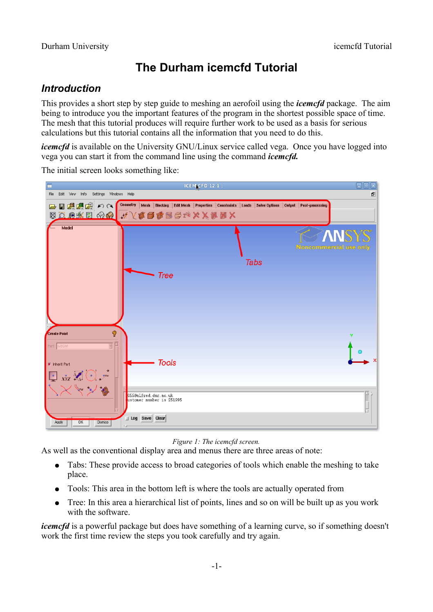# **The Durham icemcfd Tutorial**

## *Introduction*

This provides a short step by step guide to meshing an aerofoil using the *icemcfd* package. The aim being to introduce you the important features of the program in the shortest possible space of time. The mesh that this tutorial produces will require further work to be used as a basis for serious calculations but this tutorial contains all the information that you need to do this.

*icemcfd* is available on the University GNU/Linux service called vega. Once you have logged into vega you can start it from the command line using the command *icemcfd.* 

ICEM CFD 12.1 File Edit View Info Settings Windows Help Đ Geometry | Mesh | Blocking | Edit Mesh | Properties | Constraints | Loads | Solve Options | Output | Post-processing 日日県県図のへ 因口咽淋巴 ⊗ ◎ √ Ⅴ ① ① ③ ③ ③ ③ ※ × × ※ ※ × × Modo **Tabs Tree Create Point** Ø **Tools** Inherit Part 055@alfred.dur.ac.uk<br>ustomer number is 251995 J Log Save Clear

The initial screen looks something like:



As well as the conventional display area and menus there are three areas of note:

- Tabs: These provide access to broad categories of tools which enable the meshing to take place.
- Tools: This area in the bottom left is where the tools are actually operated from
- Tree: In this area a hierarchical list of points, lines and so on will be built up as you work with the software.

*icemcfd* is a powerful package but does have something of a learning curve, so if something doesn't work the first time review the steps you took carefully and try again.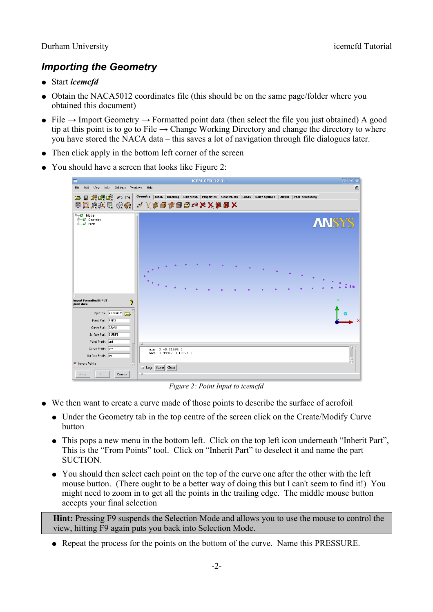## *Importing the Geometry*

- Start *icemcfd*
- Obtain the NACA5012 coordinates file (this should be on the same page/folder where you obtained this document)
- File  $\rightarrow$  Import Geometry  $\rightarrow$  Formatted point data (then select the file you just obtained) A good tip at this point is to go to File  $\rightarrow$  Change Working Directory and change the directory to where you have stored the NACA data – this saves a lot of navigation through file dialogues later.
- Then click apply in the bottom left corner of the screen
- You should have a screen that looks like [Figure 2:](#page-1-0)

|                                                                                                                    | <b>ICEM CFD 12.1:</b>                                                                                                                          | $\Box$ ek |
|--------------------------------------------------------------------------------------------------------------------|------------------------------------------------------------------------------------------------------------------------------------------------|-----------|
| View<br>Info<br>Settings Windows Help<br>File<br>Edit                                                              |                                                                                                                                                | F         |
| 日果喂啥<br>M<br>$\triangleright$                                                                                      | Geometry   Mesh   Blocking   Edit Mesh   Properties   Constraints   Loads   Solve Options   Output   Post-processing<br>図口鸡类团 ④ ◆ 人な口なるちゃメメタタ× |           |
| <b>E</b> Model<br><b>E</b> Geometry<br><b>E</b> Parts                                                              | <b>ANSYS</b><br>$\bullet$<br>٠                                                                                                                 |           |
| <b>Import Formatted INPUT</b><br>Ø<br>point data<br>Input File /data/l4cfc 7<br>Point Part PNTS<br>Curve Part CRVS | v                                                                                                                                              |           |
| Surface Part SURFS<br>Point Prefix pnt<br>Curve Prefix crv<br>Surface Prefix srf<br>I Import Points                | $min: 0 -0.01596 0$<br>max: 0.99987 0.10627 0<br><b>△ Log Save Clear</b>                                                                       | $\Box$    |
| OK.<br>Dismiss<br>Apply                                                                                            | - 16                                                                                                                                           |           |

<span id="page-1-0"></span>*Figure 2: Point Input to icemcfd*

- We then want to create a curve made of those points to describe the surface of aerofoil
	- Under the Geometry tab in the top centre of the screen click on the Create/Modify Curve button
	- This pops a new menu in the bottom left. Click on the top left icon underneath "Inherit Part", This is the "From Points" tool. Click on "Inherit Part" to deselect it and name the part **SUCTION**
	- You should then select each point on the top of the curve one after the other with the left mouse button. (There ought to be a better way of doing this but I can't seem to find it!) You might need to zoom in to get all the points in the trailing edge. The middle mouse button accepts your final selection

**Hint:** Pressing F9 suspends the Selection Mode and allows you to use the mouse to control the view, hitting F9 again puts you back into Selection Mode.

• Repeat the process for the points on the bottom of the curve. Name this PRESSURE.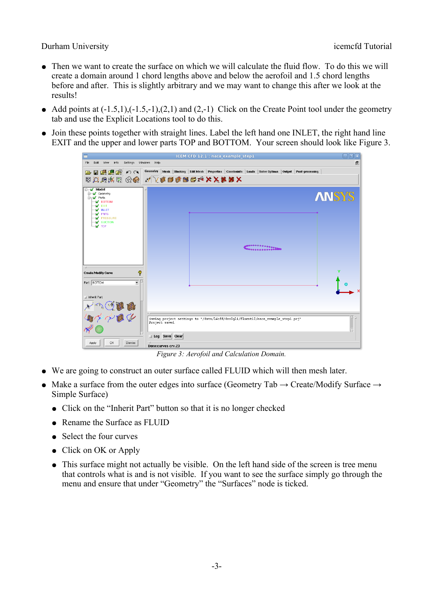- Then we want to create the surface on which we will calculate the fluid flow. To do this we will create a domain around 1 chord lengths above and below the aerofoil and 1.5 chord lengths before and after. This is slightly arbitrary and we may want to change this after we look at the results!
- Add points at  $(-1.5,1)$ ,  $(-1.5,-1)$ ,  $(2,1)$  and  $(2,-1)$  Click on the Create Point tool under the geometry tab and use the Explicit Locations tool to do this.
- Join these points together with straight lines. Label the left hand one INLET, the right hand line EXIT and the upper and lower parts TOP and BOTTOM. Your screen should look like [Figure 3.](#page-2-0)

|                                                                                                                                                                                                               | 日回図<br>ICEM CFD 12.1 : naca example step1                                                                                                         |
|---------------------------------------------------------------------------------------------------------------------------------------------------------------------------------------------------------------|---------------------------------------------------------------------------------------------------------------------------------------------------|
| Settings Windows Help<br>File<br>View<br>Info<br>Edit                                                                                                                                                         | a,                                                                                                                                                |
| 中国吗啤啤<br>$\mathcal{L} \cap \mathcal{L}$                                                                                                                                                                       | Geometry   Mesh   Blocking   Edit Mesh   Properties   Constraints   Loads   Solve Options   Output   Post-processing<br>▧ଯଯ∰©⊗©▏〃∑₡◘₡▧ප≠××₩₩×     |
| <b>E</b> <sub>TM</sub> Model<br>Geometry<br><b>E</b> <sub>T</sub> <i>M</i> Parts<br><b>MOTION</b><br><b>N</b> EXIT<br>M INLET<br><b>V</b> PNTS<br><b>M</b> PRESSURE<br><b>M</b> SUCTION<br>$\overline{M}$ TOP | <b>ANSYS</b><br>                                                                                                                                  |
| P<br><b>Create/Modify Curve</b><br>$\overline{\phantom{0}}$<br>Part BOTTOM                                                                                                                                    |                                                                                                                                                   |
| Inherit Part<br>And only<br>i <b>K</b><br>OK<br>Apply<br><b>Dismiss</b>                                                                                                                                       | Saving project settings to "/data/14cfd/des0gli/fluent12/naca_example_step1.prj"<br>Project saved.<br>2<br>□ Log Save Clear<br>Done:curves crv.23 |

<span id="page-2-0"></span>*Figure 3: Aerofoil and Calculation Domain.*

- We are going to construct an outer surface called FLUID which will then mesh later.
- Make a surface from the outer edges into surface (Geometry Tab  $\rightarrow$  Create/Modify Surface  $\rightarrow$ Simple Surface)
	- Click on the "Inherit Part" button so that it is no longer checked
	- Rename the Surface as FLUID
	- Select the four curves
	- Click on OK or Apply
	- This surface might not actually be visible. On the left hand side of the screen is tree menu that controls what is and is not visible. If you want to see the surface simply go through the menu and ensure that under "Geometry" the "Surfaces" node is ticked.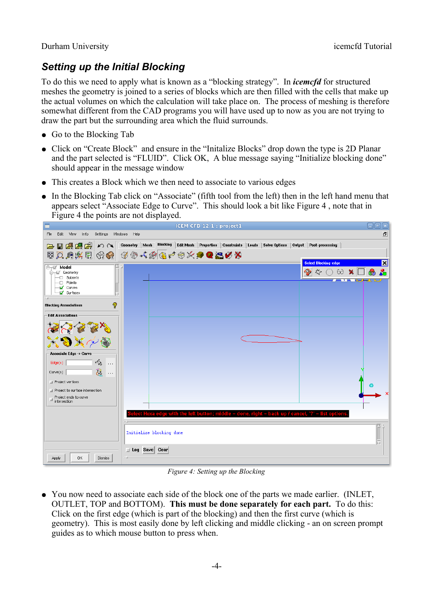## *Setting up the Initial Blocking*

To do this we need to apply what is known as a "blocking strategy". In *icemcfd* for structured meshes the geometry is joined to a series of blocks which are then filled with the cells that make up the actual volumes on which the calculation will take place on. The process of meshing is therefore somewhat different from the CAD programs you will have used up to now as you are not trying to draw the part but the surrounding area which the fluid surrounds.

- Go to the Blocking Tab
- Click on "Create Block" and ensure in the "Initalize Blocks" drop down the type is 2D Planar and the part selected is "FLUID". Click OK, A blue message saying "Initialize blocking done" should appear in the message window
- This creates a Block which we then need to associate to various edges
- In the Blocking Tab click on "Associate" (fifth tool from the left) then in the left hand menu that appears select "Associate Edge to Curve". This should look a bit like [Figure 4](#page-3-0) , note that in [Figure 4](#page-3-0) the points are not displayed.



*Figure 4: Setting up the Blocking*

<span id="page-3-0"></span>● You now need to associate each side of the block one of the parts we made earlier. (INLET, OUTLET, TOP and BOTTOM). **This must be done separately for each part.** To do this: Click on the first edge (which is part of the blocking) and then the first curve (which is geometry). This is most easily done by left clicking and middle clicking - an on screen prompt guides as to which mouse button to press when.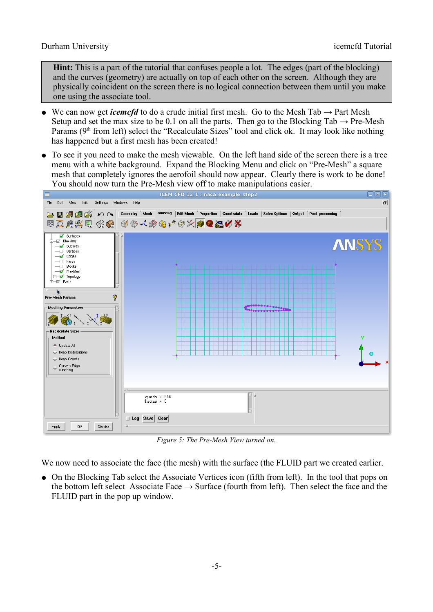**Hint:** This is a part of the tutorial that confuses people a lot. The edges (part of the blocking) and the curves (geometry) are actually on top of each other on the screen. Although they are physically coincident on the screen there is no logical connection between them until you make one using the associate tool.

- We can now get *icemcfd* to do a crude initial first mesh. Go to the Mesh Tab  $\rightarrow$  Part Mesh Setup and set the max size to be 0.1 on all the parts. Then go to the Blocking Tab  $\rightarrow$  Pre-Mesh Params  $(9<sup>th</sup>$  from left) select the "Recalculate Sizes" tool and click ok. It may look like nothing has happened but a first mesh has been created!
- To see it you need to make the mesh viewable. On the left hand side of the screen there is a tree menu with a white background. Expand the Blocking Menu and click on "Pre-Mesh" a square mesh that completely ignores the aerofoil should now appear. Clearly there is work to be done! You should now turn the Pre-Mesh view off to make manipulations easier.



*Figure 5: The Pre-Mesh View turned on.*

We now need to associate the face (the mesh) with the surface (the FLUID part we created earlier.

● On the Blocking Tab select the Associate Vertices icon (fifth from left). In the tool that pops on the bottom left select Associate Face  $\rightarrow$  Surface (fourth from left). Then select the face and the FLUID part in the pop up window.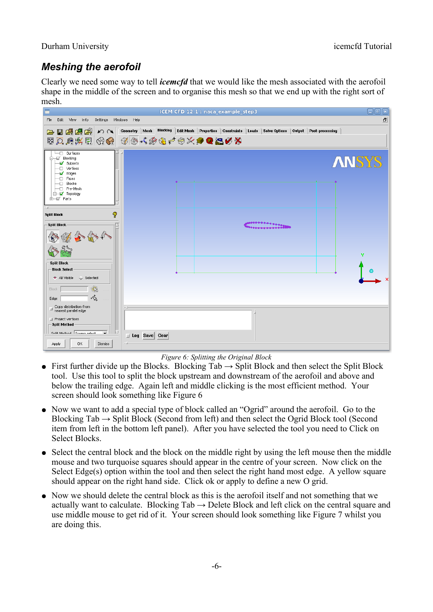## *Meshing the aerofoil*

Clearly we need some way to tell *icemcfd* that we would like the mesh associated with the aerofoil shape in the middle of the screen and to organise this mesh so that we end up with the right sort of mesh.

|                                                                                                                                                                                                                                           | $\boxdot$ g $\boxtimes$<br>ICEM CFD 12.1 : naca example step3                                                                                              |
|-------------------------------------------------------------------------------------------------------------------------------------------------------------------------------------------------------------------------------------------|------------------------------------------------------------------------------------------------------------------------------------------------------------|
| Edit View<br>Info<br>Settings Windows Help<br>File                                                                                                                                                                                        | ō                                                                                                                                                          |
| 日目県県国のト                                                                                                                                                                                                                                   | Geometry   Mesh Blocking   Edit Mesh   Properties   Constraints   Loads   Solve Options   Output   Post-processing<br>图风风热图 20 3 3 4 4 4 3 4 4 4 4 2 3 4 3 |
| ⊣⊡ Surfaces<br>M Blocking<br>Subsets<br>-□ Vertices<br><b>M</b> Edges<br>Faces<br>Ð<br>Blocks<br>Ð<br>— Pre-Mesh<br><b>E-M</b> Topology<br>ते—ार्ज Parts                                                                                  | <b>ANSYS</b>                                                                                                                                               |
| Ŷ<br><b>Split Block</b><br>-Split Block                                                                                                                                                                                                   | ************                                                                                                                                               |
| <b>Split Block</b><br><b>Block Select</b><br>All Visible<br>Selected<br>Q<br>Block                                                                                                                                                        |                                                                                                                                                            |
| 啥<br>Edge<br>$\begin{tabular}{ll} \hline & Copy distribution from \end{tabular}$<br>Mearest parallel edge<br>Project vertices<br>-Split Method<br>Split Mathod Screen select<br>$\overline{\phantom{0}}$<br>0K<br>Apply<br><b>Dismiss</b> | □ Log Save Clear                                                                                                                                           |

<span id="page-5-0"></span>*Figure 6: Splitting the Original Block*

- First further divide up the Blocks. Blocking  $Tab \rightarrow Split Block$  and then select the Split Block tool. Use this tool to split the block upstream and downstream of the aerofoil and above and below the trailing edge. Again left and middle clicking is the most efficient method. Your screen should look something like [Figure 6](#page-5-0)
- Now we want to add a special type of block called an "Ogrid" around the aerofoil. Go to the Blocking  $Tab \rightarrow Split Block$  (Second from left) and then select the Ogrid Block tool (Second item from left in the bottom left panel). After you have selected the tool you need to Click on Select Blocks.
- Select the central block and the block on the middle right by using the left mouse then the middle mouse and two turquoise squares should appear in the centre of your screen. Now click on the Select Edge(s) option within the tool and then select the right hand most edge. A yellow square should appear on the right hand side. Click ok or apply to define a new O grid.
- Now we should delete the central block as this is the aerofoil itself and not something that we actually want to calculate. Blocking  $Tab \rightarrow Delete Block$  and left click on the central square and use middle mouse to get rid of it. Your screen should look something like [Figure 7](#page-6-0) whilst you are doing this.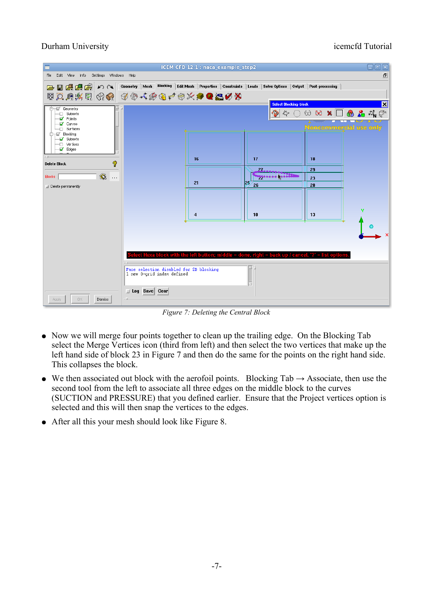| $\Box$ elix<br>ICEM CFD 12.1 : naca example step2 |                                                                                                                    |                |                                                                                                  |                                                                                 |  |
|---------------------------------------------------|--------------------------------------------------------------------------------------------------------------------|----------------|--------------------------------------------------------------------------------------------------|---------------------------------------------------------------------------------|--|
| Settings Windows Help<br>Edit View Info<br>File   |                                                                                                                    |                |                                                                                                  | Ð                                                                               |  |
| □■倶鳴图♪△│                                          | Geometry   Mesh Blocking   Edit Mesh   Properties   Constraints   Loads   Solve Options   Output   Post-processing |                |                                                                                                  |                                                                                 |  |
| 図风归兴田 ④ ⊙ ④ ⊕ 4 ⊛ ⊕ ↑ ⊕ ☆ ● ◎ ◎ ◎ ◎               |                                                                                                                    |                |                                                                                                  |                                                                                 |  |
| 白一回 Geometry                                      |                                                                                                                    |                | <b>Select Blocking-block</b>                                                                     | $\vert x \vert$                                                                 |  |
| <b>D</b> Subsets<br><b>M</b> Points               |                                                                                                                    |                | $\bullet$                                                                                        | $\circledcirc \otimes \textbf{X} \Box \textbf{0} \& \textbf{A} \& \textbf{P}^*$ |  |
| Curves                                            |                                                                                                                    |                |                                                                                                  | Noncommencial use only                                                          |  |
| -□ Surfaces<br>Focking                            |                                                                                                                    |                |                                                                                                  |                                                                                 |  |
| Subsets<br>-□ Vertices                            |                                                                                                                    |                |                                                                                                  |                                                                                 |  |
| Edges                                             |                                                                                                                    |                |                                                                                                  |                                                                                 |  |
| 9<br><b>Delete Block</b>                          |                                                                                                                    | 16             | 17                                                                                               | 18                                                                              |  |
|                                                   |                                                                                                                    |                | $27$ and $-$                                                                                     | 29                                                                              |  |
| $\mathbb{Z}$<br><b>Blocks</b><br>$\ldots$         |                                                                                                                    | 21             | <b>Monner Avenue</b><br>125<br>26                                                                | 23<br>28                                                                        |  |
| Delete permanently                                |                                                                                                                    |                |                                                                                                  |                                                                                 |  |
|                                                   |                                                                                                                    |                |                                                                                                  |                                                                                 |  |
|                                                   |                                                                                                                    |                |                                                                                                  | Y                                                                               |  |
|                                                   |                                                                                                                    | $\overline{4}$ | 10                                                                                               | 13                                                                              |  |
|                                                   |                                                                                                                    |                |                                                                                                  |                                                                                 |  |
|                                                   |                                                                                                                    |                |                                                                                                  |                                                                                 |  |
|                                                   |                                                                                                                    |                |                                                                                                  |                                                                                 |  |
|                                                   |                                                                                                                    |                | ect Hexa block with the left button; middle = done, right = back up / cancel, '?' = list options |                                                                                 |  |
|                                                   | Face selection disabled for 2D blocking                                                                            |                |                                                                                                  |                                                                                 |  |
|                                                   | 1 new 0-qrid index defined                                                                                         |                |                                                                                                  |                                                                                 |  |
|                                                   |                                                                                                                    |                |                                                                                                  |                                                                                 |  |
|                                                   | <b>1</b> Log Save Clear                                                                                            |                |                                                                                                  |                                                                                 |  |
| OK.<br><b>Dismiss</b><br>Apply                    |                                                                                                                    |                |                                                                                                  |                                                                                 |  |

<span id="page-6-0"></span>*Figure 7: Deleting the Central Block*

- Now we will merge four points together to clean up the trailing edge. On the Blocking Tab select the Merge Vertices icon (third from left) and then select the two vertices that make up the left hand side of block 23 in [Figure 7](#page-6-0) and then do the same for the points on the right hand side. This collapses the block.
- We then associated out block with the aerofoil points. Blocking  $Tab \rightarrow$  Associate, then use the second tool from the left to associate all three edges on the middle block to the curves (SUCTION and PRESSURE) that you defined earlier. Ensure that the Project vertices option is selected and this will then snap the vertices to the edges.
- After all this your mesh should look like [Figure 8.](#page-7-0)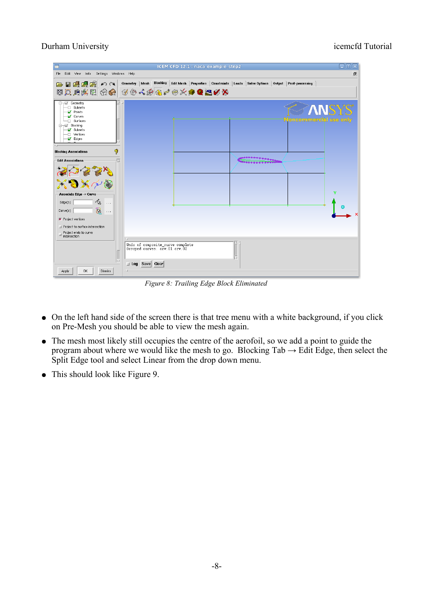| ICEM CFD 12.1 : naca example step2<br>$\Box$ e $\overline{\mathbf{x}}$                                                                                                                                                                   |                                                                                                                                                                      |  |  |  |
|------------------------------------------------------------------------------------------------------------------------------------------------------------------------------------------------------------------------------------------|----------------------------------------------------------------------------------------------------------------------------------------------------------------------|--|--|--|
| Edit View Info Settings Windows Help<br>File                                                                                                                                                                                             | 田                                                                                                                                                                    |  |  |  |
| 日星興度の2<br>$\triangleright$                                                                                                                                                                                                               | Blocking Edit Mesh Properties Constraints<br>Geometry   Mesh<br>Loads Solve Options<br><b>Output</b><br>Post-processing<br>3 2 3 4 3 4 3 4 3 4 3 4 5 4 5 6 7 8 8 8 9 |  |  |  |
| <b>E</b> <sub>T</sub><br>Subsets<br>Ð<br>⊣ <mark>√</mark> Points<br><b>V</b> Curves<br>Surfaces<br>Ð.<br>ter Blocking<br>Subsets<br>Vertices<br>Ð<br>Edges<br>- 1                                                                        | oncommerciàl use only                                                                                                                                                |  |  |  |
| 9<br><b>Blocking Associations</b><br><b>Edit Associations</b><br>- Associate Edge -> Curve<br>唸<br>Edge(s)<br>$\sim$ $\sim$ $\sim$<br>ন্তি<br>Curve(s)<br>$\cdots$<br>$\blacksquare$ Project vertices<br>Project to surface intersection | <b></b><br>٧                                                                                                                                                         |  |  |  |
| $\exists$ Project ends to curve<br>intersection<br>0K<br><b>Dismiss</b><br>Apply                                                                                                                                                         | Undo of composite_curve complete<br>Grouped curves: crv.01 crv.02<br>□ Log Save Clear                                                                                |  |  |  |

<span id="page-7-0"></span>*Figure 8: Trailing Edge Block Eliminated*

- On the left hand side of the screen there is that tree menu with a white background, if you click on Pre-Mesh you should be able to view the mesh again.
- The mesh most likely still occupies the centre of the aerofoil, so we add a point to guide the program about where we would like the mesh to go. Blocking  $Tab \rightarrow Edit Edge$ , then select the Split Edge tool and select Linear from the drop down menu.
- This should look like [Figure 9.](#page-8-0)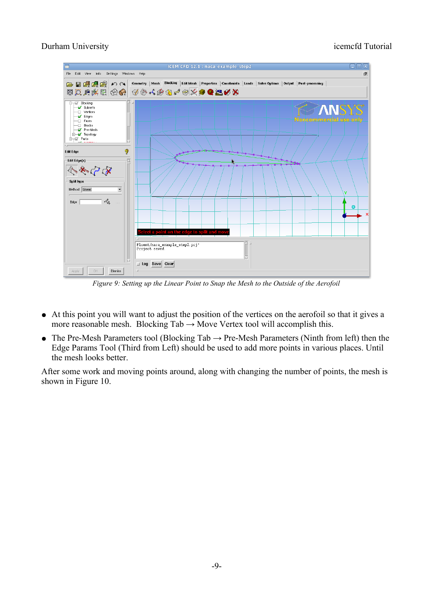

<span id="page-8-0"></span>*Figure 9: Setting up the Linear Point to Snap the Mesh to the Outside of the Aerofoil*

- At this point you will want to adjust the position of the vertices on the aerofoil so that it gives a more reasonable mesh. Blocking  $Tab \rightarrow Move$  Vertex tool will accomplish this.
- The Pre-Mesh Parameters tool (Blocking Tab  $\rightarrow$  Pre-Mesh Parameters (Ninth from left) then the Edge Params Tool (Third from Left) should be used to add more points in various places. Until the mesh looks better.

After some work and moving points around, along with changing the number of points, the mesh is shown in [Figure 10.](#page-9-0)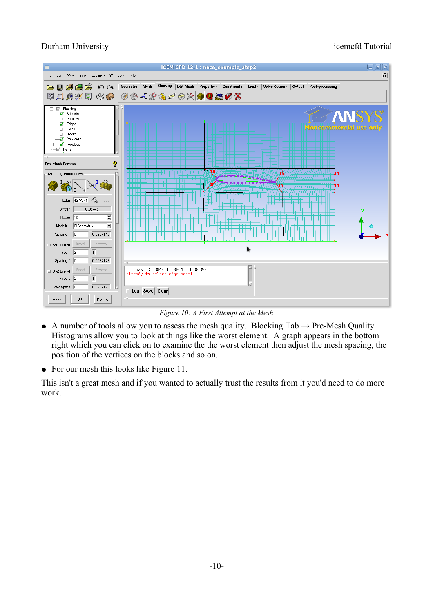

<span id="page-9-0"></span>*Figure 10: A First Attempt at the Mesh*

- A number of tools allow you to assess the mesh quality. Blocking  $Tab \rightarrow Pre-Mesh$  Quality Histograms allow you to look at things like the worst element. A graph appears in the bottom right which you can click on to examine the the worst element then adjust the mesh spacing, the position of the vertices on the blocks and so on.
- For our mesh this looks like [Figure 11.](#page-10-0)

This isn't a great mesh and if you wanted to actually trust the results from it you'd need to do more work.